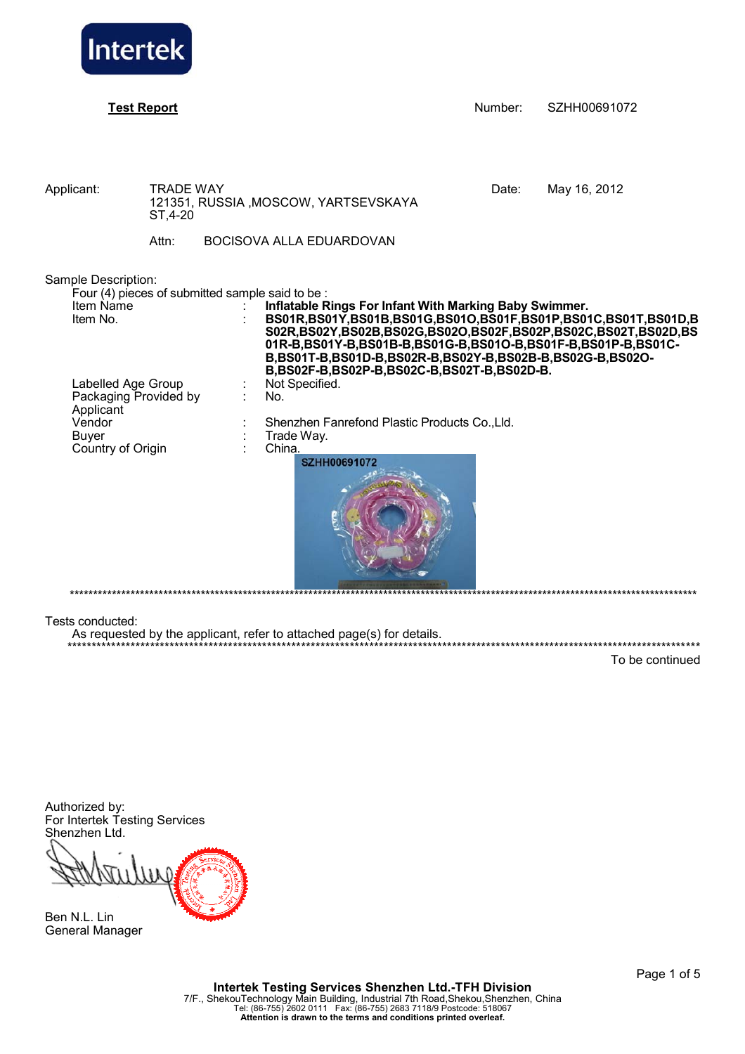

|                   |                                                                |                                                                      | Number:                                                                                                             | SZHH00691072                                                                                                                                                                                                                                                                                                                                                                                                                            |
|-------------------|----------------------------------------------------------------|----------------------------------------------------------------------|---------------------------------------------------------------------------------------------------------------------|-----------------------------------------------------------------------------------------------------------------------------------------------------------------------------------------------------------------------------------------------------------------------------------------------------------------------------------------------------------------------------------------------------------------------------------------|
| ST, 4-20<br>Attn: |                                                                |                                                                      | Date:                                                                                                               | May 16, 2012                                                                                                                                                                                                                                                                                                                                                                                                                            |
|                   |                                                                | Not Specified.<br>No.<br>Trade Way.<br>China.<br><b>SZHH00691072</b> |                                                                                                                     |                                                                                                                                                                                                                                                                                                                                                                                                                                         |
|                   | Sample Description:<br>Labelled Age Group<br>Country of Origin | <b>TRADE WAY</b><br>Packaging Provided by                            | 121351, RUSSIA, MOSCOW, YARTSEVSKAYA<br>BOCISOVA ALLA EDUARDOVAN<br>Four (4) pieces of submitted sample said to be: | Inflatable Rings For Infant With Marking Baby Swimmer.<br>BS01R, BS01Y, BS01B, BS01G, BS01O, BS01F, BS01P, BS01C, BS01T, BS01D, B<br>S02R, BS02Y, BS02B, BS02G, BS02O, BS02F, BS02P, BS02C, BS02T, BS02D, BS<br>01R-B,BS01Y-B,BS01B-B,BS01G-B,BS01O-B,BS01F-B,BS01P-B,BS01C-<br>B,BS01T-B,BS01D-B,BS02R-B,BS02Y-B,BS02B-B,BS02G-B,BS02O-<br>B,BS02F-B,BS02P-B,BS02C-B,BS02T-B,BS02D-B.<br>Shenzhen Fanrefond Plastic Products Co., Lld. |

As requested by the applicant, refer to attached page(s) for details.

To be continued

\*\*\*\*\*\*\*\*\*\*\*\*\*\*\*\*\*\*\*\*\*\*\*\*\*\*\*\*\*\*\*\*\*\*\*\*\*\*\*\*\*\*\*\*\*\*\*\*\*\*\*\*\*\*\*\*\*\*\*\*\*\*\*\*\*\*\*\*\*\*\*\*\*\*\*\*\*\*\*\*\*\*\*\*\*\*\*\*\*\*\*\*\*\*\*\*\*\*\*\*\*\*\*\*\*\*\*\*\*\*\*\*\*\*\*\*\*\*\*\*\*\*\*\*\*\*\*\*\*\*

Authorized by: For Intertek Testing Services Shenzhen Ltd.



Ben N.L. Lin General Manager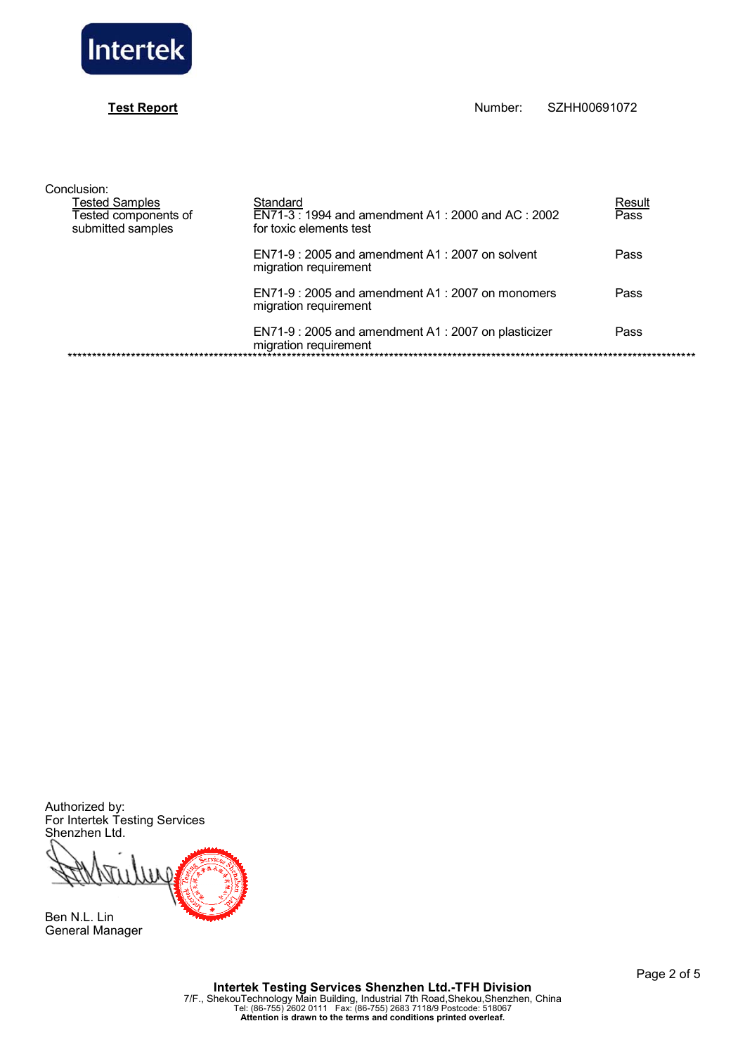

# **Test Report**

| Conclusion:                                                 |                                                                                         |                |
|-------------------------------------------------------------|-----------------------------------------------------------------------------------------|----------------|
| Tested Samples<br>Tested components of<br>submitted samples | Standard<br>EN71-3: 1994 and amendment A1: 2000 and AC: 2002<br>for toxic elements test | Result<br>Pass |
|                                                             | $EN71-9:2005$ and amendment A1 : 2007 on solvent<br>migration requirement               | Pass           |
|                                                             | $EN71-9:2005$ and amendment A1 : 2007 on monomers<br>migration requirement              | Pass           |
|                                                             | EN71-9: 2005 and amendment A1: 2007 on plasticizer<br>migration requirement             | Pass           |

Authorized by:<br>For Intertek Testing Services<br>Shenzhen Ltd.

ui

Ben N.L. Lin General Manager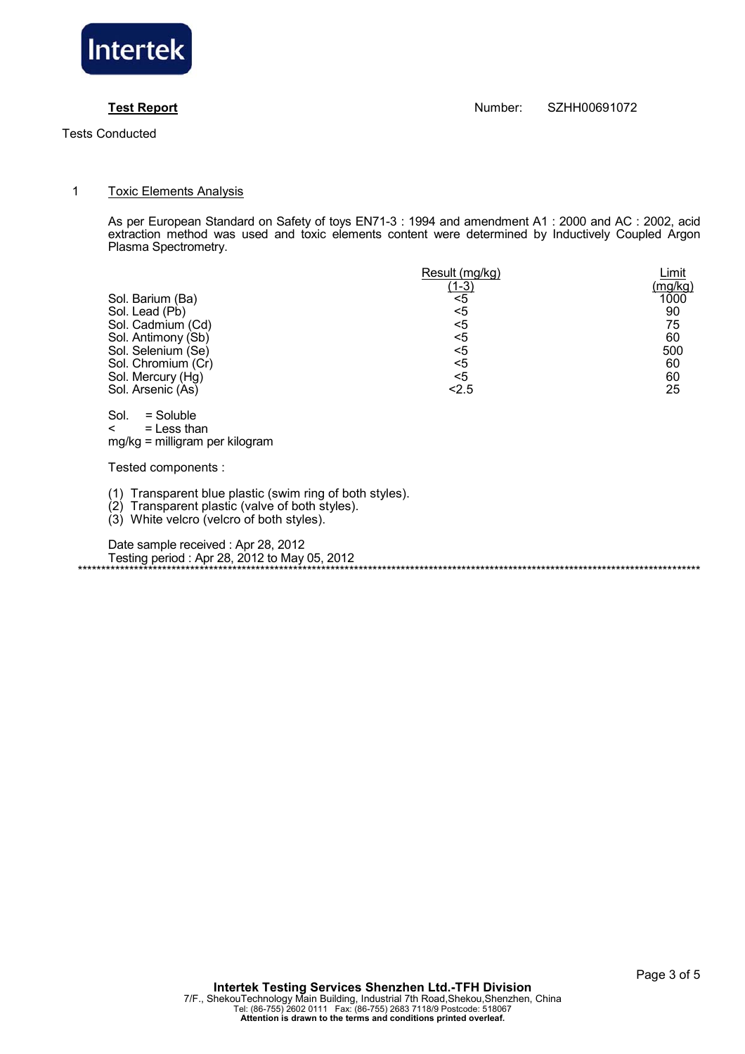

### **Test Report** Number: SZHH00691072

### 1 Toxic Elements Analysis

 As per European Standard on Safety of toys EN71-3 : 1994 and amendment A1 : 2000 and AC : 2002, acid extraction method was used and toxic elements content were determined by Inductively Coupled Argon Plasma Spectrometry.

|                    | Result (mg/kg) | Limit   |
|--------------------|----------------|---------|
|                    | <u>(1-3)</u>   | (mg/kg) |
| Sol. Barium (Ba)   | <5             | 1000    |
| Sol. Lead (Pb)     | $<$ 5          | 90      |
| Sol. Cadmium (Cd)  | $<$ 5          | 75      |
| Sol. Antimony (Sb) | $<$ 5          | 60      |
| Sol. Selenium (Se) | <5             | 500     |
| Sol. Chromium (Cr) | $<$ 5          | 60      |
| Sol. Mercury (Hg)  | <5             | 60      |
| Sol. Arsenic (As)  | < 2.5          | 25      |

 Sol. = Soluble  $\leq$  = Less than mg/kg = milligram per kilogram

Tested components :

(1) Transparent blue plastic (swim ring of both styles).

(2) Transparent plastic (valve of both styles).

(3) White velcro (velcro of both styles).

 Date sample received : Apr 28, 2012 Testing period : Apr 28, 2012 to May 05, 2012 \*\*\*\*\*\*\*\*\*\*\*\*\*\*\*\*\*\*\*\*\*\*\*\*\*\*\*\*\*\*\*\*\*\*\*\*\*\*\*\*\*\*\*\*\*\*\*\*\*\*\*\*\*\*\*\*\*\*\*\*\*\*\*\*\*\*\*\*\*\*\*\*\*\*\*\*\*\*\*\*\*\*\*\*\*\*\*\*\*\*\*\*\*\*\*\*\*\*\*\*\*\*\*\*\*\*\*\*\*\*\*\*\*\*\*\*\*\*\*\*\*\*\*\*\*\*\*\*\*\*\*\*\*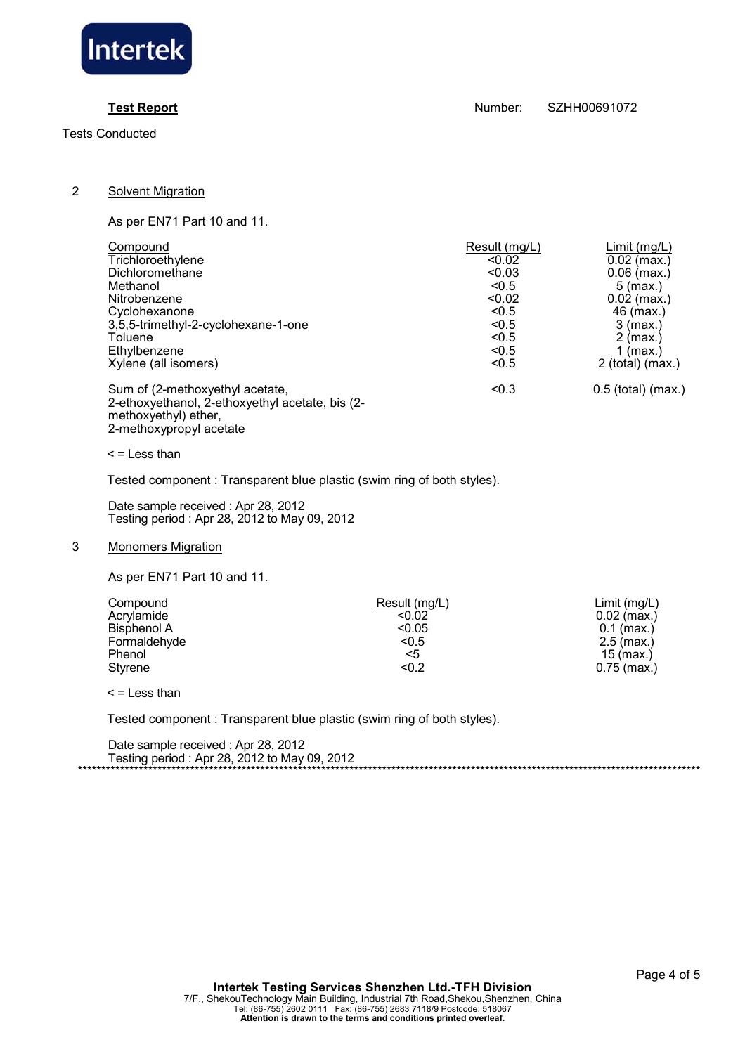

**Test Report** Number: SZHH00691072

## 2 Solvent Migration

As per EN71 Part 10 and 11.

| Compound                                                                                                                              | Result (mg/L) | Limit(mg/L)          |
|---------------------------------------------------------------------------------------------------------------------------------------|---------------|----------------------|
| Trichloroethylene                                                                                                                     | < 0.02        | $0.02$ (max.)        |
| Dichloromethane                                                                                                                       | < 0.03        | $0.06$ (max.)        |
| Methanol                                                                                                                              | < 0.5         | $5 \, (max.)$        |
| Nitrobenzene                                                                                                                          | < 0.02        | $0.02$ (max.)        |
| Cyclohexanone                                                                                                                         | < 0.5         | 46 (max.)            |
| 3,5,5-trimethyl-2-cyclohexane-1-one                                                                                                   | < 0.5         | $3$ (max.)           |
| Toluene                                                                                                                               | < 0.5         | $2$ (max.)           |
| Ethylbenzene                                                                                                                          | < 0.5         | $1$ (max.)           |
| Xylene (all isomers)                                                                                                                  | < 0.5         | $2$ (total) (max.)   |
| Sum of (2-methoxyethyl acetate,<br>2-ethoxyethanol, 2-ethoxyethyl acetate, bis (2-<br>methoxyethyl) ether,<br>2-methoxypropyl acetate | < 0.3         | $0.5$ (total) (max.) |

 $<$  = Less than

Tested component : Transparent blue plastic (swim ring of both styles).

 Date sample received : Apr 28, 2012 Testing period : Apr 28, 2012 to May 09, 2012

# 3 Monomers Migration

As per EN71 Part 10 and 11.

| Compound           | Result (mg/L) | Limit(mq/L)   |
|--------------------|---------------|---------------|
| Acrylamide         | < 0.02        | $0.02$ (max.) |
| <b>Bisphenol A</b> | < 0.05        | $0.1$ (max.)  |
| Formaldehyde       | < 0.5         | $2.5$ (max.)  |
| Phenol             | <5            | $15$ (max.)   |
| Styrene            | < 0.2         | $0.75$ (max.) |

 $\leq$  = Less than

Tested component : Transparent blue plastic (swim ring of both styles).

| Date sample received: Apr 28, 2012           |
|----------------------------------------------|
| Testing period: Apr 28, 2012 to May 09, 2012 |
|                                              |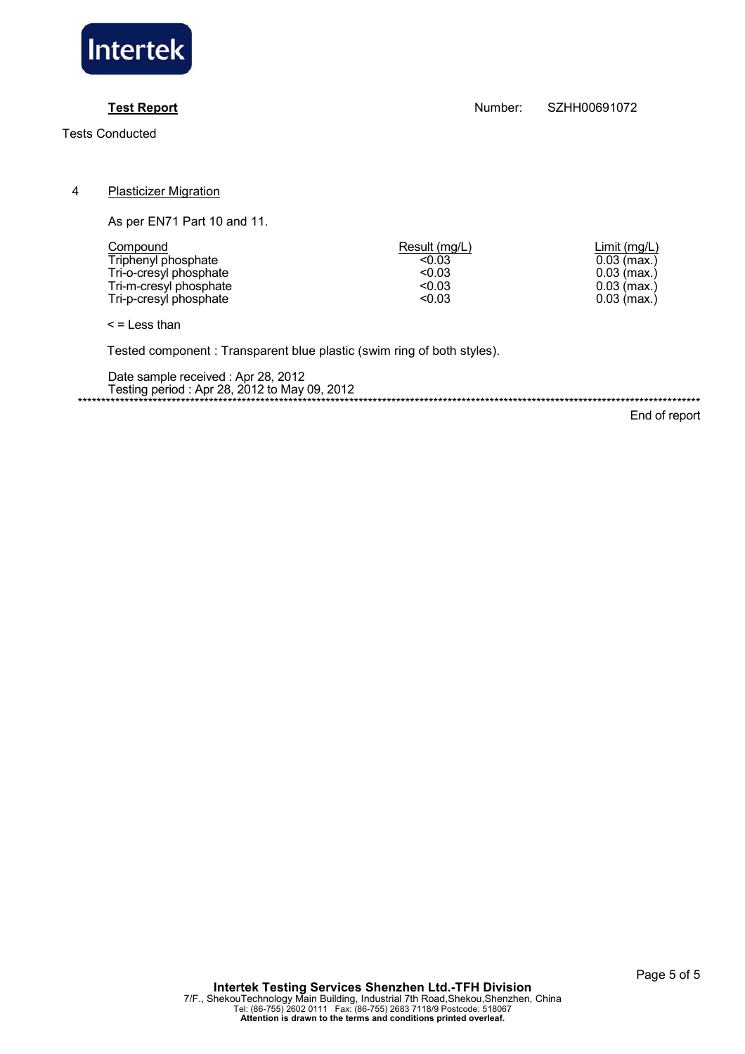

**Test Report** Number: SZHH00691072

4 Plasticizer Migration

As per EN71 Part 10 and 11.

| Compound               | Result (mg/L) | Limit(mq/L)   |
|------------------------|---------------|---------------|
| Triphenyl phosphate    | < 0.03        | $0.03$ (max.) |
| Tri-o-cresyl phosphate | < 0.03        | $0.03$ (max.) |
| Tri-m-cresyl phosphate | < 0.03        | $0.03$ (max.) |
| Tri-p-cresyl phosphate | < 0.03        | $0.03$ (max.) |

 $\leq$  = Less than

Tested component : Transparent blue plastic (swim ring of both styles).

 Date sample received : Apr 28, 2012 Testing period : Apr 28, 2012 to May 09, 2012 \*\*\*\*\*\*\*\*\*\*\*\*\*\*\*\*\*\*\*\*\*\*\*\*\*\*\*\*\*\*\*\*\*\*\*\*\*\*\*\*\*\*\*\*\*\*\*\*\*\*\*\*\*\*\*\*\*\*\*\*\*\*\*\*\*\*\*\*\*\*\*\*\*\*\*\*\*\*\*\*\*\*\*\*\*\*\*\*\*\*\*\*\*\*\*\*\*\*\*\*\*\*\*\*\*\*\*\*\*\*\*\*\*\*\*\*\*\*\*\*\*\*\*\*\*\*\*\*\*\*\*\*\*

End of report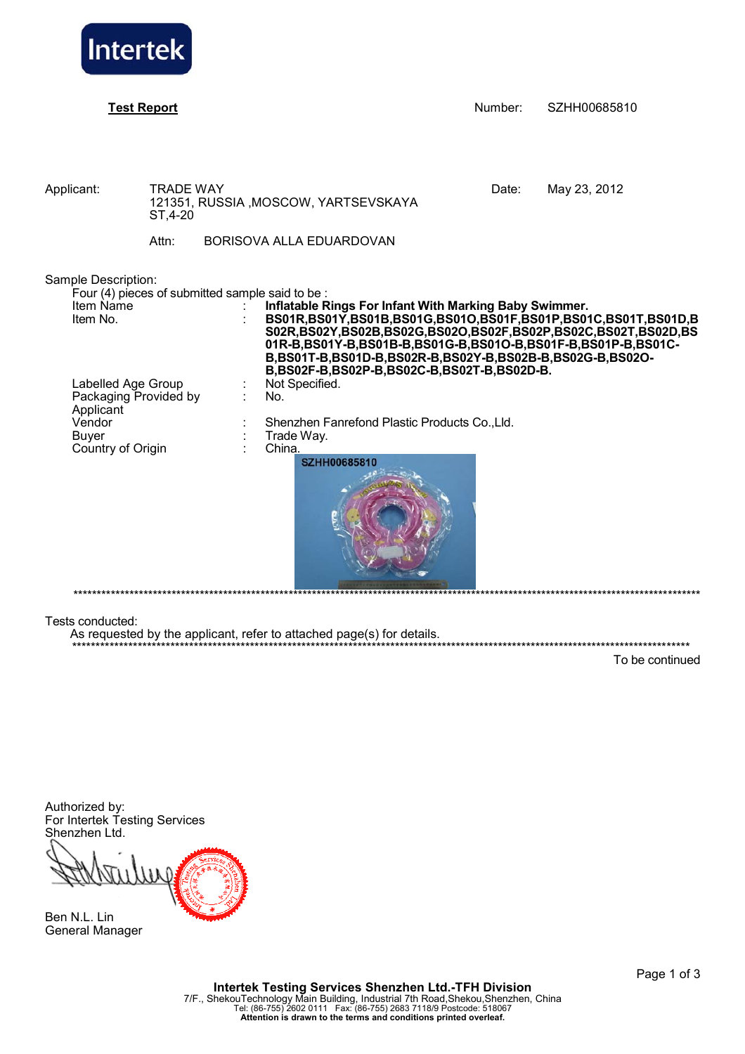

| <b>Test Report</b>                                                                                                                              |                                       |                                                                                                                                                                                                                                                                                                                                                                                                       | Number: | SZHH00685810 |
|-------------------------------------------------------------------------------------------------------------------------------------------------|---------------------------------------|-------------------------------------------------------------------------------------------------------------------------------------------------------------------------------------------------------------------------------------------------------------------------------------------------------------------------------------------------------------------------------------------------------|---------|--------------|
| Applicant:                                                                                                                                      | <b>TRADE WAY</b><br>ST, 4-20<br>Attn: | 121351, RUSSIA, MOSCOW, YARTSEVSKAYA<br>BORISOVA ALLA EDUARDOVAN                                                                                                                                                                                                                                                                                                                                      | Date:   | May 23, 2012 |
| Sample Description:<br>Four (4) pieces of submitted sample said to be :<br>Item Name<br>Item No.<br>Labelled Age Group<br>Packaging Provided by |                                       | Inflatable Rings For Infant With Marking Baby Swimmer.<br>BS01R,BS01Y,BS01B,BS01G,BS01O,BS01F,BS01P,BS01C,BS01T,BS01D,B<br>S02R, BS02Y, BS02B, BS02G, BS02O, BS02F, BS02P, BS02C, BS02T, BS02D, BS<br>01R-B,BS01Y-B,BS01B-B,BS01G-B,BS01O-B,BS01F-B,BS01P-B,BS01C-<br>B,BS01T-B,BS01D-B,BS02R-B,BS02Y-B,BS02B-B,BS02G-B,BS02O-<br>B,BS02F-B,BS02P-B,BS02C-B,BS02T-B,BS02D-B.<br>Not Specified.<br>No. |         |              |
| Applicant<br>Vendor<br><b>Buyer</b><br>Country of Origin                                                                                        |                                       | Shenzhen Fanrefond Plastic Products Co., Lld.<br>Trade Way.<br>China.<br><b>SZHH00685810</b>                                                                                                                                                                                                                                                                                                          |         |              |

As requested by the applicant, refer to attached page(s) for details.

To be continued

\*\*\*\*\*\*\*\*\*\*\*\*\*\*\*\*\*\*\*\*\*\*\*\*\*\*\*\*\*\*\*\*\*\*\*\*\*\*\*\*\*\*\*\*\*\*\*\*\*\*\*\*\*\*\*\*\*\*\*\*\*\*\*\*\*\*\*\*\*\*\*\*\*\*\*\*\*\*\*\*\*\*\*\*\*\*\*\*\*\*\*\*\*\*\*\*\*\*\*\*\*\*\*\*\*\*\*\*\*\*\*\*\*\*\*\*\*\*\*\*\*\*\*\*\*\*\*\*\*\*\*\*

Authorized by: For Intertek Testing Services Shenzhen Ltd.



Ben N.L. Lin General Manager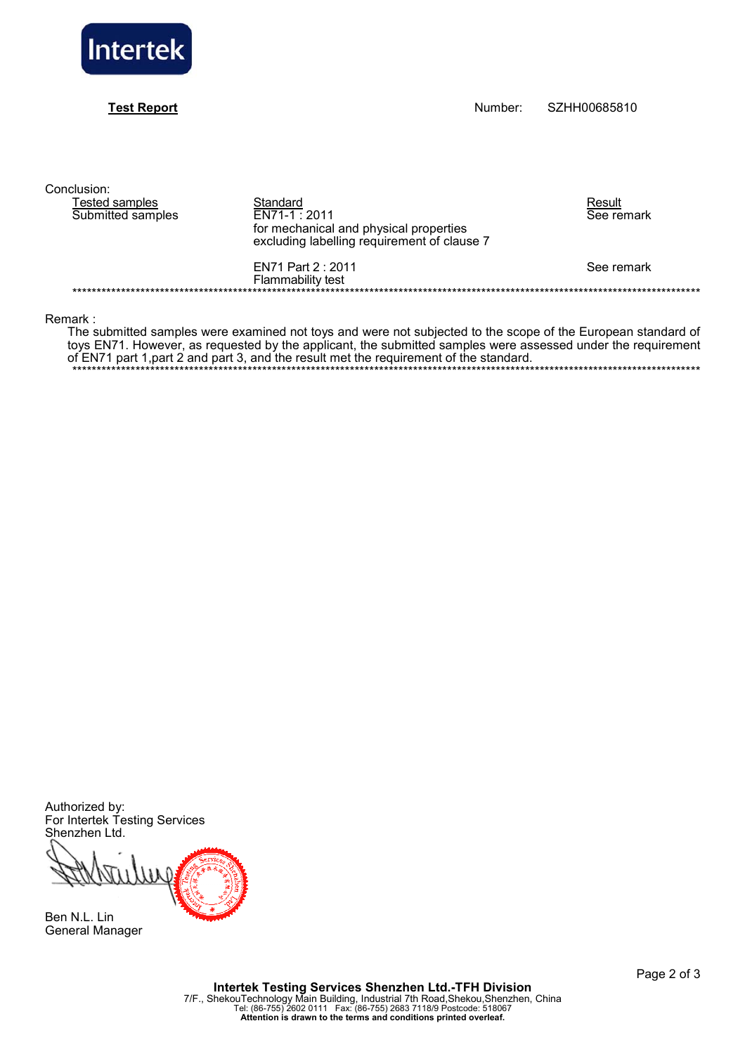

## **Test Report**

Number: SZHH00685810

Conclusion:

|                                             | Result                                                                         |
|---------------------------------------------|--------------------------------------------------------------------------------|
| $EN71-1:2011$                               | See remark                                                                     |
|                                             |                                                                                |
| excluding labelling requirement of clause 7 |                                                                                |
| EN71 Part 2 : 2011                          | See remark                                                                     |
|                                             |                                                                                |
|                                             | Standard<br>for mechanical and physical properties<br><b>Flammability test</b> |

Remark:

The submitted samples were examined not toys and were not subjected to the scope of the European standard of toys EN71. However, as requested by the applicant, the submitted samples were assessed under the requirement of EN71 part 1, part 2 and part 3, and the result met the requirement of the standard.

Authorized by:<br>For Intertek Testing Services Shenzhen Ltd.

m

Ben N.L. Lin **General Manager**